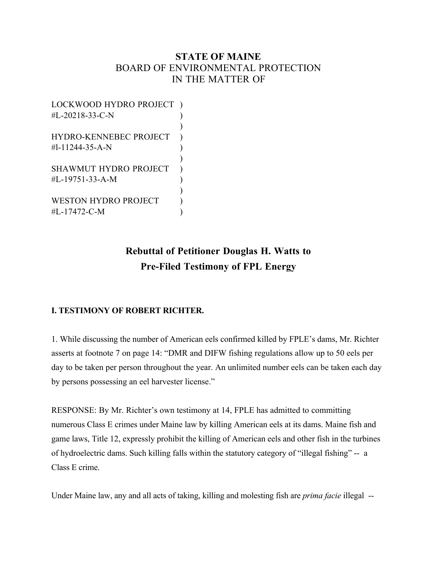## **STATE OF MAINE** BOARD OF ENVIRONMENTAL PROTECTION IN THE MATTER OF

| LOCKWOOD HYDRO PROJECT        |  |
|-------------------------------|--|
| #L-20218-33-C-N               |  |
|                               |  |
| <b>HYDRO-KENNEBEC PROJECT</b> |  |
| #1-11244-35-A-N               |  |
|                               |  |
| <b>SHAWMUT HYDRO PROJECT</b>  |  |
| #L-19751-33-A-M               |  |
|                               |  |
| <b>WESTON HYDRO PROJECT</b>   |  |
| #L-17472-C-M                  |  |

# **Rebuttal of Petitioner Douglas H. Watts to Pre-Filed Testimony of FPL Energy**

## **I. TESTIMONY OF ROBERT RICHTER.**

1. While discussing the number of American eels confirmed killed by FPLE's dams, Mr. Richter asserts at footnote 7 on page 14: "DMR and DIFW fishing regulations allow up to 50 eels per day to be taken per person throughout the year. An unlimited number eels can be taken each day by persons possessing an eel harvester license."

RESPONSE: By Mr. Richter's own testimony at 14, FPLE has admitted to committing numerous Class E crimes under Maine law by killing American eels at its dams. Maine fish and game laws, Title 12, expressly prohibit the killing of American eels and other fish in the turbines of hydroelectric dams. Such killing falls within the statutory category of "illegal fishing" -- a Class E crime.

Under Maine law, any and all acts of taking, killing and molesting fish are *prima facie* illegal --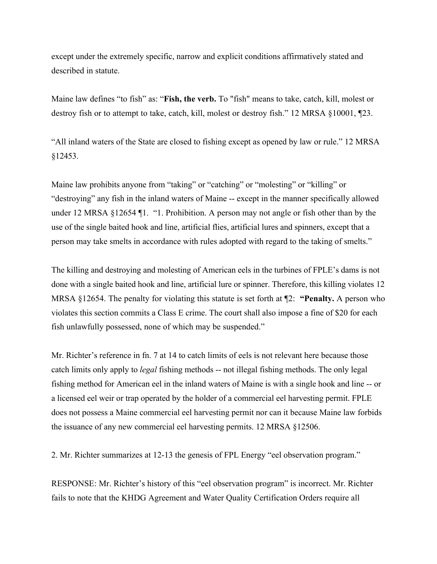except under the extremely specific, narrow and explicit conditions affirmatively stated and described in statute.

Maine law defines "to fish" as: "**Fish, the verb.** To "fish" means to take, catch, kill, molest or destroy fish or to attempt to take, catch, kill, molest or destroy fish." 12 MRSA §10001, ¶23.

"All inland waters of the State are closed to fishing except as opened by law or rule." 12 MRSA §12453.

Maine law prohibits anyone from "taking" or "catching" or "molesting" or "killing" or "destroying" any fish in the inland waters of Maine -- except in the manner specifically allowed under 12 MRSA §12654 ¶1. "1. Prohibition. A person may not angle or fish other than by the use of the single baited hook and line, artificial flies, artificial lures and spinners, except that a person may take smelts in accordance with rules adopted with regard to the taking of smelts."

The killing and destroying and molesting of American eels in the turbines of FPLE's dams is not done with a single baited hook and line, artificial lure or spinner. Therefore, this killing violates 12 MRSA §12654. The penalty for violating this statute is set forth at ¶2: **"Penalty.** A person who violates this section commits a Class E crime. The court shall also impose a fine of \$20 for each fish unlawfully possessed, none of which may be suspended."

Mr. Richter's reference in fn. 7 at 14 to catch limits of eels is not relevant here because those catch limits only apply to *legal* fishing methods -- not illegal fishing methods. The only legal fishing method for American eel in the inland waters of Maine is with a single hook and line -- or a licensed eel weir or trap operated by the holder of a commercial eel harvesting permit. FPLE does not possess a Maine commercial eel harvesting permit nor can it because Maine law forbids the issuance of any new commercial eel harvesting permits. 12 MRSA §12506.

2. Mr. Richter summarizes at 12-13 the genesis of FPL Energy "eel observation program."

RESPONSE: Mr. Richter's history of this "eel observation program" is incorrect. Mr. Richter fails to note that the KHDG Agreement and Water Quality Certification Orders require all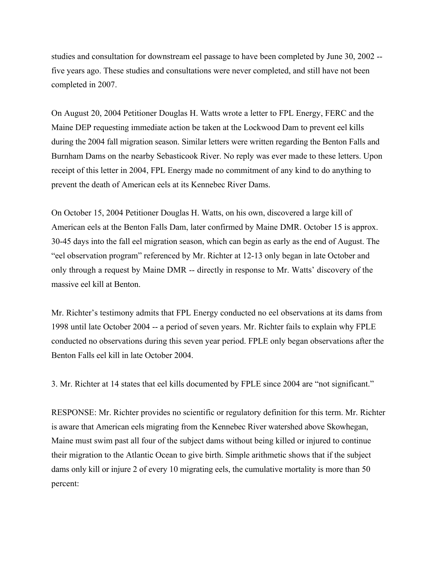studies and consultation for downstream eel passage to have been completed by June 30, 2002 - five years ago. These studies and consultations were never completed, and still have not been completed in 2007.

On August 20, 2004 Petitioner Douglas H. Watts wrote a letter to FPL Energy, FERC and the Maine DEP requesting immediate action be taken at the Lockwood Dam to prevent eel kills during the 2004 fall migration season. Similar letters were written regarding the Benton Falls and Burnham Dams on the nearby Sebasticook River. No reply was ever made to these letters. Upon receipt of this letter in 2004, FPL Energy made no commitment of any kind to do anything to prevent the death of American eels at its Kennebec River Dams.

On October 15, 2004 Petitioner Douglas H. Watts, on his own, discovered a large kill of American eels at the Benton Falls Dam, later confirmed by Maine DMR. October 15 is approx. 30-45 days into the fall eel migration season, which can begin as early as the end of August. The "eel observation program" referenced by Mr. Richter at 12-13 only began in late October and only through a request by Maine DMR -- directly in response to Mr. Watts' discovery of the massive eel kill at Benton.

Mr. Richter's testimony admits that FPL Energy conducted no eel observations at its dams from 1998 until late October 2004 -- a period of seven years. Mr. Richter fails to explain why FPLE conducted no observations during this seven year period. FPLE only began observations after the Benton Falls eel kill in late October 2004.

3. Mr. Richter at 14 states that eel kills documented by FPLE since 2004 are "not significant."

RESPONSE: Mr. Richter provides no scientific or regulatory definition for this term. Mr. Richter is aware that American eels migrating from the Kennebec River watershed above Skowhegan, Maine must swim past all four of the subject dams without being killed or injured to continue their migration to the Atlantic Ocean to give birth. Simple arithmetic shows that if the subject dams only kill or injure 2 of every 10 migrating eels, the cumulative mortality is more than 50 percent: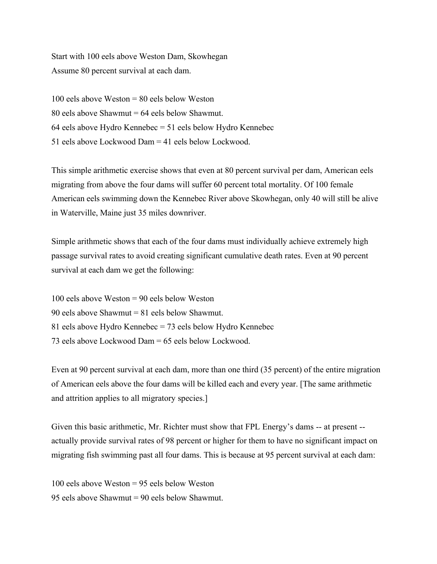Start with 100 eels above Weston Dam, Skowhegan Assume 80 percent survival at each dam.

100 eels above Weston = 80 eels below Weston 80 eels above Shawmut = 64 eels below Shawmut. 64 eels above Hydro Kennebec = 51 eels below Hydro Kennebec 51 eels above Lockwood Dam = 41 eels below Lockwood.

This simple arithmetic exercise shows that even at 80 percent survival per dam, American eels migrating from above the four dams will suffer 60 percent total mortality. Of 100 female American eels swimming down the Kennebec River above Skowhegan, only 40 will still be alive in Waterville, Maine just 35 miles downriver.

Simple arithmetic shows that each of the four dams must individually achieve extremely high passage survival rates to avoid creating significant cumulative death rates. Even at 90 percent survival at each dam we get the following:

100 eels above Weston = 90 eels below Weston 90 eels above Shawmut = 81 eels below Shawmut. 81 eels above Hydro Kennebec = 73 eels below Hydro Kennebec 73 eels above Lockwood Dam = 65 eels below Lockwood.

Even at 90 percent survival at each dam, more than one third (35 percent) of the entire migration of American eels above the four dams will be killed each and every year. [The same arithmetic and attrition applies to all migratory species.]

Given this basic arithmetic, Mr. Richter must show that FPL Energy's dams -- at present - actually provide survival rates of 98 percent or higher for them to have no significant impact on migrating fish swimming past all four dams. This is because at 95 percent survival at each dam:

100 eels above Weston = 95 eels below Weston 95 eels above Shawmut = 90 eels below Shawmut.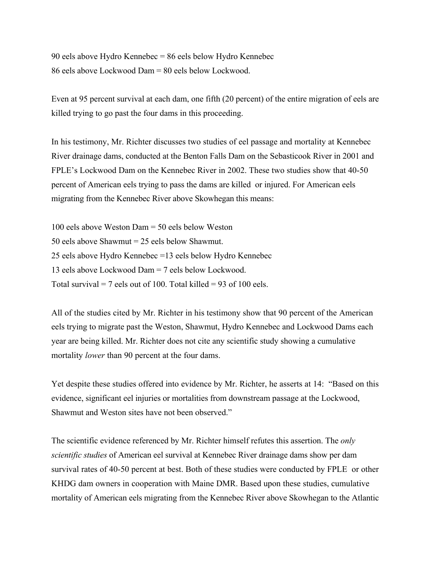90 eels above Hydro Kennebec = 86 eels below Hydro Kennebec 86 eels above Lockwood Dam = 80 eels below Lockwood.

Even at 95 percent survival at each dam, one fifth (20 percent) of the entire migration of eels are killed trying to go past the four dams in this proceeding.

In his testimony, Mr. Richter discusses two studies of eel passage and mortality at Kennebec River drainage dams, conducted at the Benton Falls Dam on the Sebasticook River in 2001 and FPLE's Lockwood Dam on the Kennebec River in 2002. These two studies show that 40-50 percent of American eels trying to pass the dams are killed or injured. For American eels migrating from the Kennebec River above Skowhegan this means:

100 eels above Weston Dam = 50 eels below Weston 50 eels above Shawmut = 25 eels below Shawmut. 25 eels above Hydro Kennebec =13 eels below Hydro Kennebec 13 eels above Lockwood Dam = 7 eels below Lockwood. Total survival  $= 7$  eels out of 100. Total killed  $= 93$  of 100 eels.

All of the studies cited by Mr. Richter in his testimony show that 90 percent of the American eels trying to migrate past the Weston, Shawmut, Hydro Kennebec and Lockwood Dams each year are being killed. Mr. Richter does not cite any scientific study showing a cumulative mortality *lower* than 90 percent at the four dams.

Yet despite these studies offered into evidence by Mr. Richter, he asserts at 14: "Based on this evidence, significant eel injuries or mortalities from downstream passage at the Lockwood, Shawmut and Weston sites have not been observed."

The scientific evidence referenced by Mr. Richter himself refutes this assertion. The *only scientific studies* of American eel survival at Kennebec River drainage dams show per dam survival rates of 40-50 percent at best. Both of these studies were conducted by FPLE or other KHDG dam owners in cooperation with Maine DMR. Based upon these studies, cumulative mortality of American eels migrating from the Kennebec River above Skowhegan to the Atlantic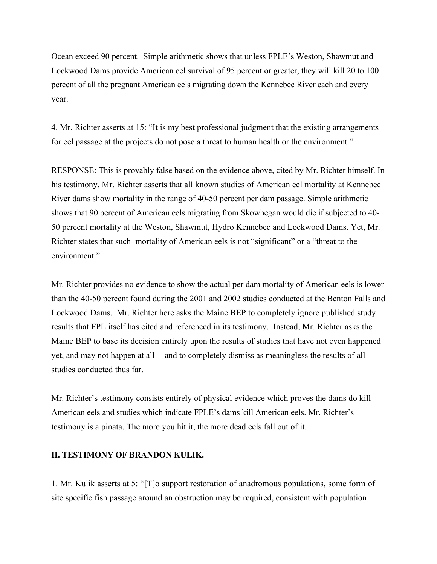Ocean exceed 90 percent. Simple arithmetic shows that unless FPLE's Weston, Shawmut and Lockwood Dams provide American eel survival of 95 percent or greater, they will kill 20 to 100 percent of all the pregnant American eels migrating down the Kennebec River each and every year.

4. Mr. Richter asserts at 15: "It is my best professional judgment that the existing arrangements for eel passage at the projects do not pose a threat to human health or the environment."

RESPONSE: This is provably false based on the evidence above, cited by Mr. Richter himself. In his testimony, Mr. Richter asserts that all known studies of American eel mortality at Kennebec River dams show mortality in the range of 40-50 percent per dam passage. Simple arithmetic shows that 90 percent of American eels migrating from Skowhegan would die if subjected to 40- 50 percent mortality at the Weston, Shawmut, Hydro Kennebec and Lockwood Dams. Yet, Mr. Richter states that such mortality of American eels is not "significant" or a "threat to the environment."

Mr. Richter provides no evidence to show the actual per dam mortality of American eels is lower than the 40-50 percent found during the 2001 and 2002 studies conducted at the Benton Falls and Lockwood Dams. Mr. Richter here asks the Maine BEP to completely ignore published study results that FPL itself has cited and referenced in its testimony. Instead, Mr. Richter asks the Maine BEP to base its decision entirely upon the results of studies that have not even happened yet, and may not happen at all -- and to completely dismiss as meaningless the results of all studies conducted thus far.

Mr. Richter's testimony consists entirely of physical evidence which proves the dams do kill American eels and studies which indicate FPLE's dams kill American eels. Mr. Richter's testimony is a pinata. The more you hit it, the more dead eels fall out of it.

### **II. TESTIMONY OF BRANDON KULIK.**

1. Mr. Kulik asserts at 5: "[T]o support restoration of anadromous populations, some form of site specific fish passage around an obstruction may be required, consistent with population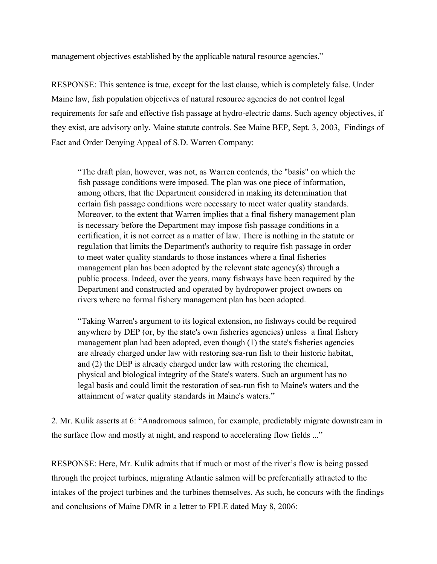management objectives established by the applicable natural resource agencies."

RESPONSE: This sentence is true, except for the last clause, which is completely false. Under Maine law, fish population objectives of natural resource agencies do not control legal requirements for safe and effective fish passage at hydro-electric dams. Such agency objectives, if they exist, are advisory only. Maine statute controls. See Maine BEP, Sept. 3, 2003, Findings of Fact and Order Denying Appeal of S.D. Warren Company:

"The draft plan, however, was not, as Warren contends, the "basis" on which the fish passage conditions were imposed. The plan was one piece of information, among others, that the Department considered in making its determination that certain fish passage conditions were necessary to meet water quality standards. Moreover, to the extent that Warren implies that a final fishery management plan is necessary before the Department may impose fish passage conditions in a certification, it is not correct as a matter of law. There is nothing in the statute or regulation that limits the Department's authority to require fish passage in order to meet water quality standards to those instances where a final fisheries management plan has been adopted by the relevant state agency(s) through a public process. Indeed, over the years, many fishways have been required by the Department and constructed and operated by hydropower project owners on rivers where no formal fishery management plan has been adopted.

"Taking Warren's argument to its logical extension, no fishways could be required anywhere by DEP (or, by the state's own fisheries agencies) unless a final fishery management plan had been adopted, even though (1) the state's fisheries agencies are already charged under law with restoring sea-run fish to their historic habitat, and (2) the DEP is already charged under law with restoring the chemical, physical and biological integrity of the State's waters. Such an argument has no legal basis and could limit the restoration of sea-run fish to Maine's waters and the attainment of water quality standards in Maine's waters."

2. Mr. Kulik asserts at 6: "Anadromous salmon, for example, predictably migrate downstream in the surface flow and mostly at night, and respond to accelerating flow fields ..."

RESPONSE: Here, Mr. Kulik admits that if much or most of the river's flow is being passed through the project turbines, migrating Atlantic salmon will be preferentially attracted to the intakes of the project turbines and the turbines themselves. As such, he concurs with the findings and conclusions of Maine DMR in a letter to FPLE dated May 8, 2006: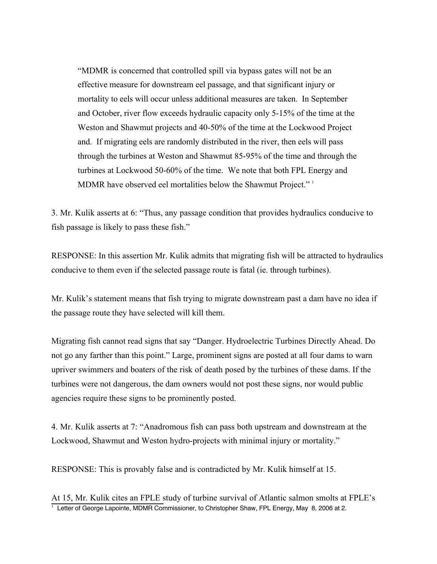"MDMR is concerned that controlled spill via bypass gates will not be an effective measure for downstream eel passage, and that significant injury or mortality to eels will occur unless additional measures are taken. In September and October, river flow exceeds hydraulic capacity only 5-15% of the time at the Weston and Shawmut projects and 40-50% of the time at the Lockwood Project and. If migrating eels are randomly distributed in the river, then eels will pass through the turbines at Weston and Shawmut 85-95% of the time and through the turbines at Lockwood 50-60% of the time. We note that both FPL Energy and MDMR have observed eel mortalities below the Shawmut Project."<sup>1</sup>

3. Mr. Kulik asserts at 6: "Thus, any passage condition that provides hydraulics conducive to fish passage is likely to pass these fish."

RESPONSE: In this assertion Mr. Kulik admits that migrating fish will be attracted to hydraulics conducive to them even if the selected passage route is fatal (ie. through turbines).

Mr. Kulik's statement means that fish trying to migrate downstream past a dam have no idea if the passage route they have selected will kill them.

Migrating fish cannot read signs that say "Danger. Hydroelectric Turbines Directly Ahead. Do not go any farther than this point." Large, prominent signs are posted at all four dams to warn upriver swimmers and boaters of the risk of death posed by the turbines of these dams. If the turbines were not dangerous, the dam owners would not post these signs, nor would public agencies require these signs to be prominently posted.

4. Mr. Kulik asserts at 7: "Anadromous fish can pass both upstream and downstream at the Lockwood, Shawmut and Weston hydro-projects with minimal injury or mortality."

RESPONSE: This is provably false and is contradicted by Mr. Kulik himself at 15.

At 15, Mr. Kulik cites an FPLE study of turbine survival of Atlantic salmon smolts at FPLE's  $\frac{1}{1}$  Letter of George Lapointe, MDMR Commissioner, to Christopher Shaw, FPL Energy, May 8, 2006 at 2.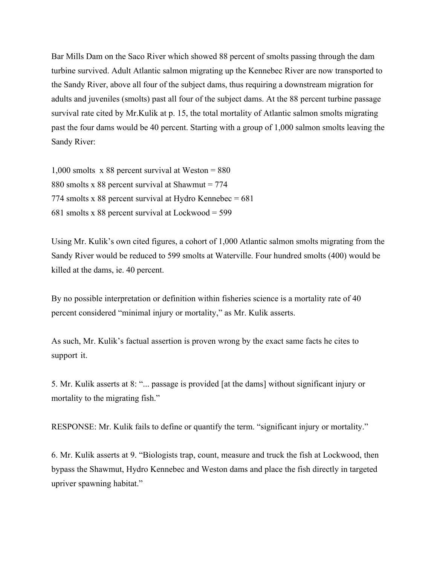Bar Mills Dam on the Saco River which showed 88 percent of smolts passing through the dam turbine survived. Adult Atlantic salmon migrating up the Kennebec River are now transported to the Sandy River, above all four of the subject dams, thus requiring a downstream migration for adults and juveniles (smolts) past all four of the subject dams. At the 88 percent turbine passage survival rate cited by Mr.Kulik at p. 15, the total mortality of Atlantic salmon smolts migrating past the four dams would be 40 percent. Starting with a group of 1,000 salmon smolts leaving the Sandy River:

1,000 smolts x 88 percent survival at Weston = 880 880 smolts x 88 percent survival at Shawmut = 774 774 smolts x 88 percent survival at Hydro Kennebec  $= 681$ 681 smolts x 88 percent survival at Lockwood = 599

Using Mr. Kulik's own cited figures, a cohort of 1,000 Atlantic salmon smolts migrating from the Sandy River would be reduced to 599 smolts at Waterville. Four hundred smolts (400) would be killed at the dams, ie. 40 percent.

By no possible interpretation or definition within fisheries science is a mortality rate of 40 percent considered "minimal injury or mortality," as Mr. Kulik asserts.

As such, Mr. Kulik's factual assertion is proven wrong by the exact same facts he cites to support it.

5. Mr. Kulik asserts at 8: "... passage is provided [at the dams] without significant injury or mortality to the migrating fish."

RESPONSE: Mr. Kulik fails to define or quantify the term. "significant injury or mortality."

6. Mr. Kulik asserts at 9. "Biologists trap, count, measure and truck the fish at Lockwood, then bypass the Shawmut, Hydro Kennebec and Weston dams and place the fish directly in targeted upriver spawning habitat."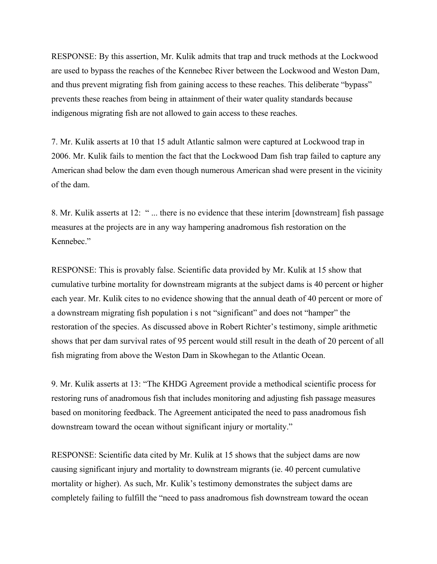RESPONSE: By this assertion, Mr. Kulik admits that trap and truck methods at the Lockwood are used to bypass the reaches of the Kennebec River between the Lockwood and Weston Dam, and thus prevent migrating fish from gaining access to these reaches. This deliberate "bypass" prevents these reaches from being in attainment of their water quality standards because indigenous migrating fish are not allowed to gain access to these reaches.

7. Mr. Kulik asserts at 10 that 15 adult Atlantic salmon were captured at Lockwood trap in 2006. Mr. Kulik fails to mention the fact that the Lockwood Dam fish trap failed to capture any American shad below the dam even though numerous American shad were present in the vicinity of the dam.

8. Mr. Kulik asserts at 12: " ... there is no evidence that these interim [downstream] fish passage measures at the projects are in any way hampering anadromous fish restoration on the Kennebec."

RESPONSE: This is provably false. Scientific data provided by Mr. Kulik at 15 show that cumulative turbine mortality for downstream migrants at the subject dams is 40 percent or higher each year. Mr. Kulik cites to no evidence showing that the annual death of 40 percent or more of a downstream migrating fish population i s not "significant" and does not "hamper" the restoration of the species. As discussed above in Robert Richter's testimony, simple arithmetic shows that per dam survival rates of 95 percent would still result in the death of 20 percent of all fish migrating from above the Weston Dam in Skowhegan to the Atlantic Ocean.

9. Mr. Kulik asserts at 13: "The KHDG Agreement provide a methodical scientific process for restoring runs of anadromous fish that includes monitoring and adjusting fish passage measures based on monitoring feedback. The Agreement anticipated the need to pass anadromous fish downstream toward the ocean without significant injury or mortality."

RESPONSE: Scientific data cited by Mr. Kulik at 15 shows that the subject dams are now causing significant injury and mortality to downstream migrants (ie. 40 percent cumulative mortality or higher). As such, Mr. Kulik's testimony demonstrates the subject dams are completely failing to fulfill the "need to pass anadromous fish downstream toward the ocean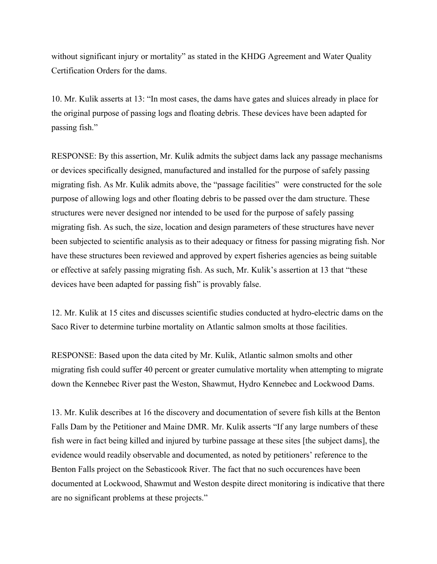without significant injury or mortality" as stated in the KHDG Agreement and Water Quality Certification Orders for the dams.

10. Mr. Kulik asserts at 13: "In most cases, the dams have gates and sluices already in place for the original purpose of passing logs and floating debris. These devices have been adapted for passing fish."

RESPONSE: By this assertion, Mr. Kulik admits the subject dams lack any passage mechanisms or devices specifically designed, manufactured and installed for the purpose of safely passing migrating fish. As Mr. Kulik admits above, the "passage facilities" were constructed for the sole purpose of allowing logs and other floating debris to be passed over the dam structure. These structures were never designed nor intended to be used for the purpose of safely passing migrating fish. As such, the size, location and design parameters of these structures have never been subjected to scientific analysis as to their adequacy or fitness for passing migrating fish. Nor have these structures been reviewed and approved by expert fisheries agencies as being suitable or effective at safely passing migrating fish. As such, Mr. Kulik's assertion at 13 that "these devices have been adapted for passing fish" is provably false.

12. Mr. Kulik at 15 cites and discusses scientific studies conducted at hydro-electric dams on the Saco River to determine turbine mortality on Atlantic salmon smolts at those facilities.

RESPONSE: Based upon the data cited by Mr. Kulik, Atlantic salmon smolts and other migrating fish could suffer 40 percent or greater cumulative mortality when attempting to migrate down the Kennebec River past the Weston, Shawmut, Hydro Kennebec and Lockwood Dams.

13. Mr. Kulik describes at 16 the discovery and documentation of severe fish kills at the Benton Falls Dam by the Petitioner and Maine DMR. Mr. Kulik asserts "If any large numbers of these fish were in fact being killed and injured by turbine passage at these sites [the subject dams], the evidence would readily observable and documented, as noted by petitioners' reference to the Benton Falls project on the Sebasticook River. The fact that no such occurences have been documented at Lockwood, Shawmut and Weston despite direct monitoring is indicative that there are no significant problems at these projects."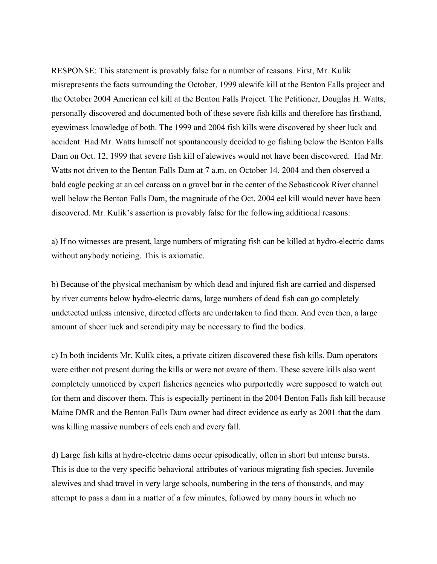RESPONSE: This statement is provably false for a number of reasons. First, Mr. Kulik misrepresents the facts surrounding the October, 1999 alewife kill at the Benton Falls project and the October 2004 American eel kill at the Benton Falls Project. The Petitioner, Douglas H. Watts, personally discovered and documented both of these severe fish kills and therefore has firsthand, eyewitness knowledge of both. The 1999 and 2004 fish kills were discovered by sheer luck and accident. Had Mr. Watts himself not spontaneously decided to go fishing below the Benton Falls Dam on Oct. 12, 1999 that severe fish kill of alewives would not have been discovered. Had Mr. Watts not driven to the Benton Falls Dam at 7 a.m. on October 14, 2004 and then observed a bald eagle pecking at an eel carcass on a gravel bar in the center of the Sebasticook River channel well below the Benton Falls Dam, the magnitude of the Oct. 2004 eel kill would never have been discovered. Mr. Kulik's assertion is provably false for the following additional reasons:

a) If no witnesses are present, large numbers of migrating fish can be killed at hydro-electric dams without anybody noticing. This is axiomatic.

b) Because of the physical mechanism by which dead and injured fish are carried and dispersed by river currents below hydro-electric dams, large numbers of dead fish can go completely undetected unless intensive, directed efforts are undertaken to find them. And even then, a large amount of sheer luck and serendipity may be necessary to find the bodies.

c) In both incidents Mr. Kulik cites, a private citizen discovered these fish kills. Dam operators were either not present during the kills or were not aware of them. These severe kills also went completely unnoticed by expert fisheries agencies who purportedly were supposed to watch out for them and discover them. This is especially pertinent in the 2004 Benton Falls fish kill because Maine DMR and the Benton Falls Dam owner had direct evidence as early as 2001 that the dam was killing massive numbers of eels each and every fall.

d) Large fish kills at hydro-electric dams occur episodically, often in short but intense bursts. This is due to the very specific behavioral attributes of various migrating fish species. Juvenile alewives and shad travel in very large schools, numbering in the tens of thousands, and may attempt to pass a dam in a matter of a few minutes, followed by many hours in which no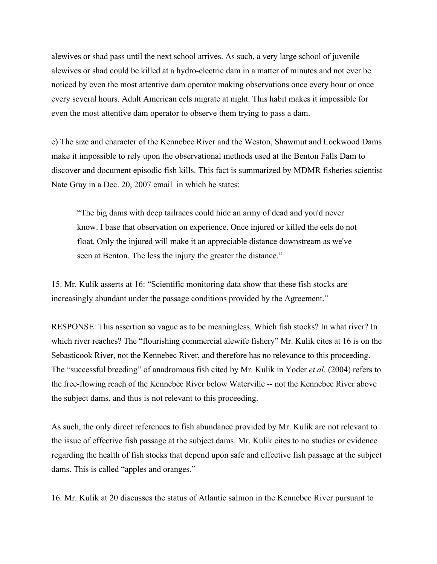alewives or shad pass until the next school arrives. As such, a very large school of juvenile alewives or shad could be killed at a hydro-electric dam in a matter of minutes and not ever be noticed by even the most attentive dam operator making observations once every hour or once every several hours. Adult American eels migrate at night. This habit makes it impossible for even the most attentive dam operator to observe them trying to pass a dam.

e) The size and character of the Kennebec River and the Weston, Shawmut and Lockwood Dams make it impossible to rely upon the observational methods used at the Benton Falls Dam to discover and document episodic fish kills. This fact is summarized by MDMR fisheries scientist Nate Gray in a Dec. 20, 2007 email in which he states:

"The big dams with deep tailraces could hide an army of dead and you'd never know. I base that observation on experience. Once injured or killed the eels do not float. Only the injured will make it an appreciable distance downstream as we've seen at Benton. The less the injury the greater the distance."

15. Mr. Kulik asserts at 16: "Scientific monitoring data show that these fish stocks are increasingly abundant under the passage conditions provided by the Agreement."

RESPONSE: This assertion so vague as to be meaningless. Which fish stocks? In what river? In which river reaches? The "flourishing commercial alewife fishery" Mr. Kulik cites at 16 is on the Sebasticook River, not the Kennebec River, and therefore has no relevance to this proceeding. The "successful breeding" of anadromous fish cited by Mr. Kulik in Yoder *et al.* (2004) refers to the free-flowing reach of the Kennebec River below Waterville -- not the Kennebec River above the subject dams, and thus is not relevant to this proceeding.

As such, the only direct references to fish abundance provided by Mr. Kulik are not relevant to the issue of effective fish passage at the subject dams. Mr. Kulik cites to no studies or evidence regarding the health of fish stocks that depend upon safe and effective fish passage at the subject dams. This is called "apples and oranges."

16. Mr. Kulik at 20 discusses the status of Atlantic salmon in the Kennebec River pursuant to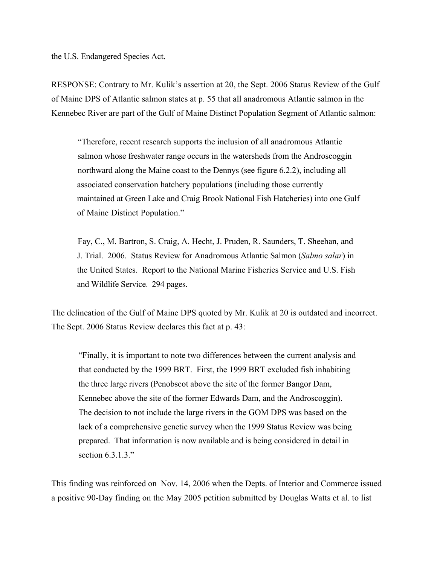the U.S. Endangered Species Act.

RESPONSE: Contrary to Mr. Kulik's assertion at 20, the Sept. 2006 Status Review of the Gulf of Maine DPS of Atlantic salmon states at p. 55 that all anadromous Atlantic salmon in the Kennebec River are part of the Gulf of Maine Distinct Population Segment of Atlantic salmon:

"Therefore, recent research supports the inclusion of all anadromous Atlantic salmon whose freshwater range occurs in the watersheds from the Androscoggin northward along the Maine coast to the Dennys (see figure 6.2.2), including all associated conservation hatchery populations (including those currently maintained at Green Lake and Craig Brook National Fish Hatcheries) into one Gulf of Maine Distinct Population."

Fay, C., M. Bartron, S. Craig, A. Hecht, J. Pruden, R. Saunders, T. Sheehan, and J. Trial. 2006. Status Review for Anadromous Atlantic Salmon (*Salmo salar*) in the United States. Report to the National Marine Fisheries Service and U.S. Fish and Wildlife Service. 294 pages.

The delineation of the Gulf of Maine DPS quoted by Mr. Kulik at 20 is outdated and incorrect. The Sept. 2006 Status Review declares this fact at p. 43:

"Finally, it is important to note two differences between the current analysis and that conducted by the 1999 BRT. First, the 1999 BRT excluded fish inhabiting the three large rivers (Penobscot above the site of the former Bangor Dam, Kennebec above the site of the former Edwards Dam, and the Androscoggin). The decision to not include the large rivers in the GOM DPS was based on the lack of a comprehensive genetic survey when the 1999 Status Review was being prepared. That information is now available and is being considered in detail in section  $6.3.1.3$ ."

This finding was reinforced on Nov. 14, 2006 when the Depts. of Interior and Commerce issued a positive 90-Day finding on the May 2005 petition submitted by Douglas Watts et al. to list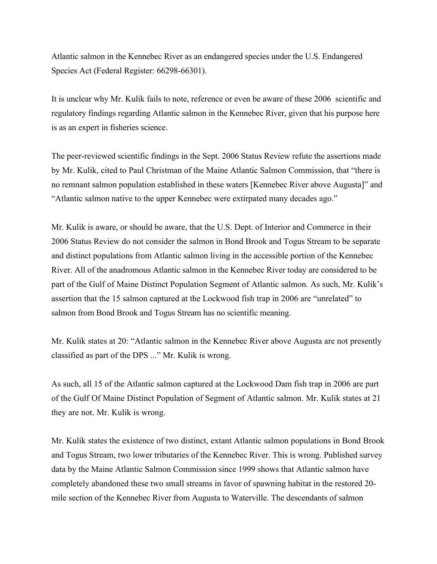Atlantic salmon in the Kennebec River as an endangered species under the U.S. Endangered Species Act (Federal Register: 66298-66301).

It is unclear why Mr. Kulik fails to note, reference or even be aware of these 2006 scientific and regulatory findings regarding Atlantic salmon in the Kennebec River, given that his purpose here is as an expert in fisheries science.

The peer-reviewed scientific findings in the Sept. 2006 Status Review refute the assertions made by Mr. Kulik, cited to Paul Christman of the Maine Atlantic Salmon Commission, that "there is no remnant salmon population established in these waters [Kennebec River above Augusta]" and "Atlantic salmon native to the upper Kennebec were extirpated many decades ago."

Mr. Kulik is aware, or should be aware, that the U.S. Dept. of Interior and Commerce in their 2006 Status Review do not consider the salmon in Bond Brook and Togus Stream to be separate and distinct populations from Atlantic salmon living in the accessible portion of the Kennebec River. All of the anadromous Atlantic salmon in the Kennebec River today are considered to be part of the Gulf of Maine Distinct Population Segment of Atlantic salmon. As such, Mr. Kulik's assertion that the 15 salmon captured at the Lockwood fish trap in 2006 are "unrelated" to salmon from Bond Brook and Togus Stream has no scientific meaning.

Mr. Kulik states at 20: "Atlantic salmon in the Kennebec River above Augusta are not presently classified as part of the DPS ..." Mr. Kulik is wrong.

As such, all 15 of the Atlantic salmon captured at the Lockwood Dam fish trap in 2006 are part of the Gulf Of Maine Distinct Population of Segment of Atlantic salmon. Mr. Kulik states at 21 they are not. Mr. Kulik is wrong.

Mr. Kulik states the existence of two distinct, extant Atlantic salmon populations in Bond Brook and Togus Stream, two lower tributaries of the Kennebec River. This is wrong. Published survey data by the Maine Atlantic Salmon Commission since 1999 shows that Atlantic salmon have completely abandoned these two small streams in favor of spawning habitat in the restored 20 mile section of the Kennebec River from Augusta to Waterville. The descendants of salmon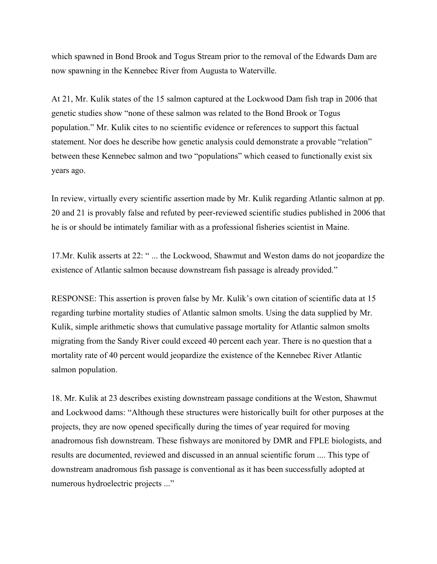which spawned in Bond Brook and Togus Stream prior to the removal of the Edwards Dam are now spawning in the Kennebec River from Augusta to Waterville.

At 21, Mr. Kulik states of the 15 salmon captured at the Lockwood Dam fish trap in 2006 that genetic studies show "none of these salmon was related to the Bond Brook or Togus population." Mr. Kulik cites to no scientific evidence or references to support this factual statement. Nor does he describe how genetic analysis could demonstrate a provable "relation" between these Kennebec salmon and two "populations" which ceased to functionally exist six years ago.

In review, virtually every scientific assertion made by Mr. Kulik regarding Atlantic salmon at pp. 20 and 21 is provably false and refuted by peer-reviewed scientific studies published in 2006 that he is or should be intimately familiar with as a professional fisheries scientist in Maine.

17.Mr. Kulik asserts at 22: " ... the Lockwood, Shawmut and Weston dams do not jeopardize the existence of Atlantic salmon because downstream fish passage is already provided."

RESPONSE: This assertion is proven false by Mr. Kulik's own citation of scientific data at 15 regarding turbine mortality studies of Atlantic salmon smolts. Using the data supplied by Mr. Kulik, simple arithmetic shows that cumulative passage mortality for Atlantic salmon smolts migrating from the Sandy River could exceed 40 percent each year. There is no question that a mortality rate of 40 percent would jeopardize the existence of the Kennebec River Atlantic salmon population.

18. Mr. Kulik at 23 describes existing downstream passage conditions at the Weston, Shawmut and Lockwood dams: "Although these structures were historically built for other purposes at the projects, they are now opened specifically during the times of year required for moving anadromous fish downstream. These fishways are monitored by DMR and FPLE biologists, and results are documented, reviewed and discussed in an annual scientific forum .... This type of downstream anadromous fish passage is conventional as it has been successfully adopted at numerous hydroelectric projects ..."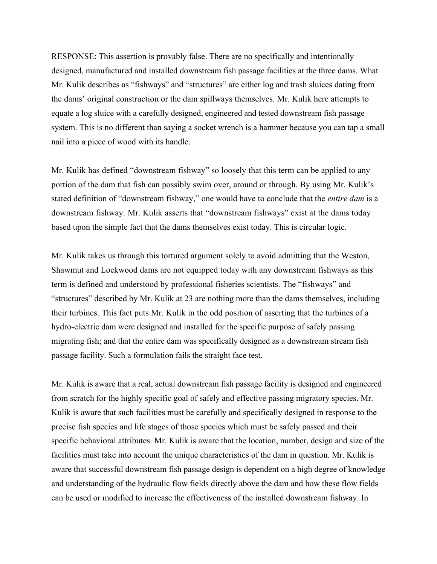RESPONSE: This assertion is provably false. There are no specifically and intentionally designed, manufactured and installed downstream fish passage facilities at the three dams. What Mr. Kulik describes as "fishways" and "structures" are either log and trash sluices dating from the dams' original construction or the dam spillways themselves. Mr. Kulik here attempts to equate a log sluice with a carefully designed, engineered and tested downstream fish passage system. This is no different than saying a socket wrench is a hammer because you can tap a small nail into a piece of wood with its handle.

Mr. Kulik has defined "downstream fishway" so loosely that this term can be applied to any portion of the dam that fish can possibly swim over, around or through. By using Mr. Kulik's stated definition of "downstream fishway," one would have to conclude that the *entire dam* is a downstream fishway. Mr. Kulik asserts that "downstream fishways" exist at the dams today based upon the simple fact that the dams themselves exist today. This is circular logic.

Mr. Kulik takes us through this tortured argument solely to avoid admitting that the Weston, Shawmut and Lockwood dams are not equipped today with any downstream fishways as this term is defined and understood by professional fisheries scientists. The "fishways" and "structures" described by Mr. Kulik at 23 are nothing more than the dams themselves, including their turbines. This fact puts Mr. Kulik in the odd position of asserting that the turbines of a hydro-electric dam were designed and installed for the specific purpose of safely passing migrating fish; and that the entire dam was specifically designed as a downstream stream fish passage facility. Such a formulation fails the straight face test.

Mr. Kulik is aware that a real, actual downstream fish passage facility is designed and engineered from scratch for the highly specific goal of safely and effective passing migratory species. Mr. Kulik is aware that such facilities must be carefully and specifically designed in response to the precise fish species and life stages of those species which must be safely passed and their specific behavioral attributes. Mr. Kulik is aware that the location, number, design and size of the facilities must take into account the unique characteristics of the dam in question. Mr. Kulik is aware that successful downstream fish passage design is dependent on a high degree of knowledge and understanding of the hydraulic flow fields directly above the dam and how these flow fields can be used or modified to increase the effectiveness of the installed downstream fishway. In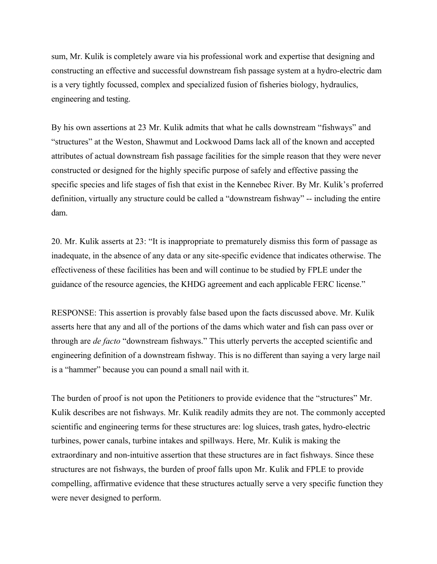sum, Mr. Kulik is completely aware via his professional work and expertise that designing and constructing an effective and successful downstream fish passage system at a hydro-electric dam is a very tightly focussed, complex and specialized fusion of fisheries biology, hydraulics, engineering and testing.

By his own assertions at 23 Mr. Kulik admits that what he calls downstream "fishways" and "structures" at the Weston, Shawmut and Lockwood Dams lack all of the known and accepted attributes of actual downstream fish passage facilities for the simple reason that they were never constructed or designed for the highly specific purpose of safely and effective passing the specific species and life stages of fish that exist in the Kennebec River. By Mr. Kulik's proferred definition, virtually any structure could be called a "downstream fishway" -- including the entire dam.

20. Mr. Kulik asserts at 23: "It is inappropriate to prematurely dismiss this form of passage as inadequate, in the absence of any data or any site-specific evidence that indicates otherwise. The effectiveness of these facilities has been and will continue to be studied by FPLE under the guidance of the resource agencies, the KHDG agreement and each applicable FERC license."

RESPONSE: This assertion is provably false based upon the facts discussed above. Mr. Kulik asserts here that any and all of the portions of the dams which water and fish can pass over or through are *de facto* "downstream fishways." This utterly perverts the accepted scientific and engineering definition of a downstream fishway. This is no different than saying a very large nail is a "hammer" because you can pound a small nail with it.

The burden of proof is not upon the Petitioners to provide evidence that the "structures" Mr. Kulik describes are not fishways. Mr. Kulik readily admits they are not. The commonly accepted scientific and engineering terms for these structures are: log sluices, trash gates, hydro-electric turbines, power canals, turbine intakes and spillways. Here, Mr. Kulik is making the extraordinary and non-intuitive assertion that these structures are in fact fishways. Since these structures are not fishways, the burden of proof falls upon Mr. Kulik and FPLE to provide compelling, affirmative evidence that these structures actually serve a very specific function they were never designed to perform.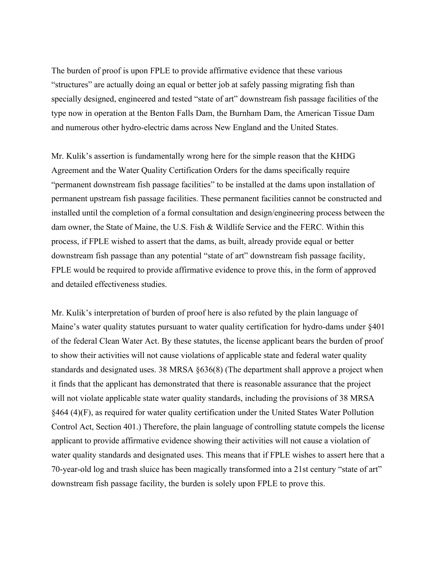The burden of proof is upon FPLE to provide affirmative evidence that these various "structures" are actually doing an equal or better job at safely passing migrating fish than specially designed, engineered and tested "state of art" downstream fish passage facilities of the type now in operation at the Benton Falls Dam, the Burnham Dam, the American Tissue Dam and numerous other hydro-electric dams across New England and the United States.

Mr. Kulik's assertion is fundamentally wrong here for the simple reason that the KHDG Agreement and the Water Quality Certification Orders for the dams specifically require "permanent downstream fish passage facilities" to be installed at the dams upon installation of permanent upstream fish passage facilities. These permanent facilities cannot be constructed and installed until the completion of a formal consultation and design/engineering process between the dam owner, the State of Maine, the U.S. Fish & Wildlife Service and the FERC. Within this process, if FPLE wished to assert that the dams, as built, already provide equal or better downstream fish passage than any potential "state of art" downstream fish passage facility, FPLE would be required to provide affirmative evidence to prove this, in the form of approved and detailed effectiveness studies.

Mr. Kulik's interpretation of burden of proof here is also refuted by the plain language of Maine's water quality statutes pursuant to water quality certification for hydro-dams under §401 of the federal Clean Water Act. By these statutes, the license applicant bears the burden of proof to show their activities will not cause violations of applicable state and federal water quality standards and designated uses. 38 MRSA §636(8) (The department shall approve a project when it finds that the applicant has demonstrated that there is reasonable assurance that the project will not violate applicable state water quality standards, including the provisions of 38 MRSA §464 (4)(F), as required for water quality certification under the United States Water Pollution Control Act, Section 401.) Therefore, the plain language of controlling statute compels the license applicant to provide affirmative evidence showing their activities will not cause a violation of water quality standards and designated uses. This means that if FPLE wishes to assert here that a 70-year-old log and trash sluice has been magically transformed into a 21st century "state of art" downstream fish passage facility, the burden is solely upon FPLE to prove this.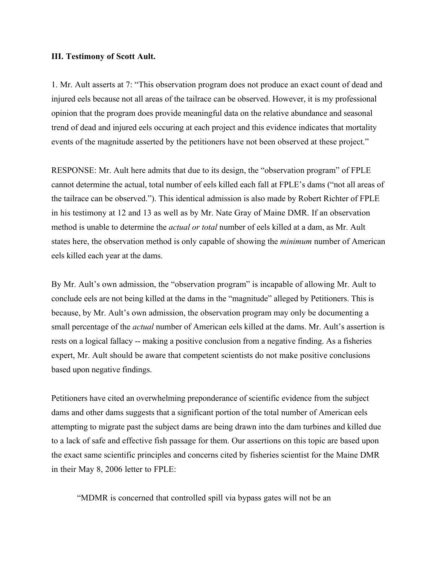#### **III. Testimony of Scott Ault.**

1. Mr. Ault asserts at 7: "This observation program does not produce an exact count of dead and injured eels because not all areas of the tailrace can be observed. However, it is my professional opinion that the program does provide meaningful data on the relative abundance and seasonal trend of dead and injured eels occuring at each project and this evidence indicates that mortality events of the magnitude asserted by the petitioners have not been observed at these project."

RESPONSE: Mr. Ault here admits that due to its design, the "observation program" of FPLE cannot determine the actual, total number of eels killed each fall at FPLE's dams ("not all areas of the tailrace can be observed."). This identical admission is also made by Robert Richter of FPLE in his testimony at 12 and 13 as well as by Mr. Nate Gray of Maine DMR. If an observation method is unable to determine the *actual or total* number of eels killed at a dam, as Mr. Ault states here, the observation method is only capable of showing the *minimum* number of American eels killed each year at the dams.

By Mr. Ault's own admission, the "observation program" is incapable of allowing Mr. Ault to conclude eels are not being killed at the dams in the "magnitude" alleged by Petitioners. This is because, by Mr. Ault's own admission, the observation program may only be documenting a small percentage of the *actual* number of American eels killed at the dams. Mr. Ault's assertion is rests on a logical fallacy -- making a positive conclusion from a negative finding. As a fisheries expert, Mr. Ault should be aware that competent scientists do not make positive conclusions based upon negative findings.

Petitioners have cited an overwhelming preponderance of scientific evidence from the subject dams and other dams suggests that a significant portion of the total number of American eels attempting to migrate past the subject dams are being drawn into the dam turbines and killed due to a lack of safe and effective fish passage for them. Our assertions on this topic are based upon the exact same scientific principles and concerns cited by fisheries scientist for the Maine DMR in their May 8, 2006 letter to FPLE:

"MDMR is concerned that controlled spill via bypass gates will not be an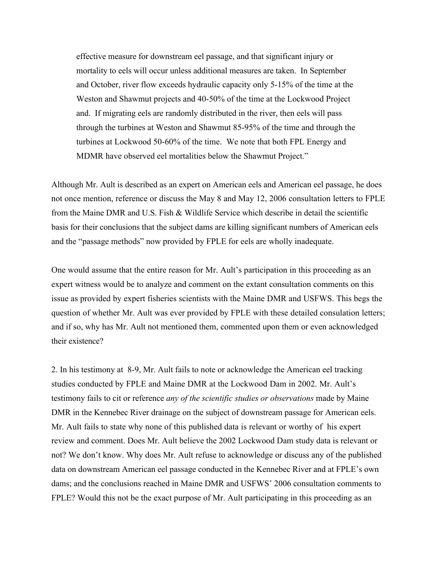effective measure for downstream eel passage, and that significant injury or mortality to eels will occur unless additional measures are taken. In September and October, river flow exceeds hydraulic capacity only 5-15% of the time at the Weston and Shawmut projects and 40-50% of the time at the Lockwood Project and. If migrating eels are randomly distributed in the river, then eels will pass through the turbines at Weston and Shawmut 85-95% of the time and through the turbines at Lockwood 50-60% of the time. We note that both FPL Energy and MDMR have observed eel mortalities below the Shawmut Project."

Although Mr. Ault is described as an expert on American eels and American eel passage, he does not once mention, reference or discuss the May 8 and May 12, 2006 consultation letters to FPLE from the Maine DMR and U.S. Fish & Wildlife Service which describe in detail the scientific basis for their conclusions that the subject dams are killing significant numbers of American eels and the "passage methods" now provided by FPLE for eels are wholly inadequate.

One would assume that the entire reason for Mr. Ault's participation in this proceeding as an expert witness would be to analyze and comment on the extant consultation comments on this issue as provided by expert fisheries scientists with the Maine DMR and USFWS. This begs the question of whether Mr. Ault was ever provided by FPLE with these detailed consulation letters; and if so, why has Mr. Ault not mentioned them, commented upon them or even acknowledged their existence?

2. In his testimony at 8-9, Mr. Ault fails to note or acknowledge the American eel tracking studies conducted by FPLE and Maine DMR at the Lockwood Dam in 2002. Mr. Ault's testimony fails to cit or reference *any of the scientific studies or observations* made by Maine DMR in the Kennebec River drainage on the subject of downstream passage for American eels. Mr. Ault fails to state why none of this published data is relevant or worthy of his expert review and comment. Does Mr. Ault believe the 2002 Lockwood Dam study data is relevant or not? We don't know. Why does Mr. Ault refuse to acknowledge or discuss any of the published data on downstream American eel passage conducted in the Kennebec River and at FPLE's own dams; and the conclusions reached in Maine DMR and USFWS' 2006 consultation comments to FPLE? Would this not be the exact purpose of Mr. Ault participating in this proceeding as an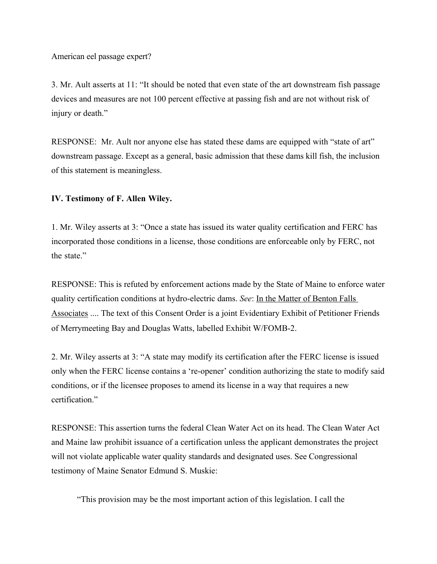American eel passage expert?

3. Mr. Ault asserts at 11: "It should be noted that even state of the art downstream fish passage devices and measures are not 100 percent effective at passing fish and are not without risk of injury or death."

RESPONSE: Mr. Ault nor anyone else has stated these dams are equipped with "state of art" downstream passage. Except as a general, basic admission that these dams kill fish, the inclusion of this statement is meaningless.

### **IV. Testimony of F. Allen Wiley.**

1. Mr. Wiley asserts at 3: "Once a state has issued its water quality certification and FERC has incorporated those conditions in a license, those conditions are enforceable only by FERC, not the state."

RESPONSE: This is refuted by enforcement actions made by the State of Maine to enforce water quality certification conditions at hydro-electric dams. *See*: In the Matter of Benton Falls Associates .... The text of this Consent Order is a joint Evidentiary Exhibit of Petitioner Friends of Merrymeeting Bay and Douglas Watts, labelled Exhibit W/FOMB-2.

2. Mr. Wiley asserts at 3: "A state may modify its certification after the FERC license is issued only when the FERC license contains a 're-opener' condition authorizing the state to modify said conditions, or if the licensee proposes to amend its license in a way that requires a new certification"

RESPONSE: This assertion turns the federal Clean Water Act on its head. The Clean Water Act and Maine law prohibit issuance of a certification unless the applicant demonstrates the project will not violate applicable water quality standards and designated uses. See Congressional testimony of Maine Senator Edmund S. Muskie:

"This provision may be the most important action of this legislation. I call the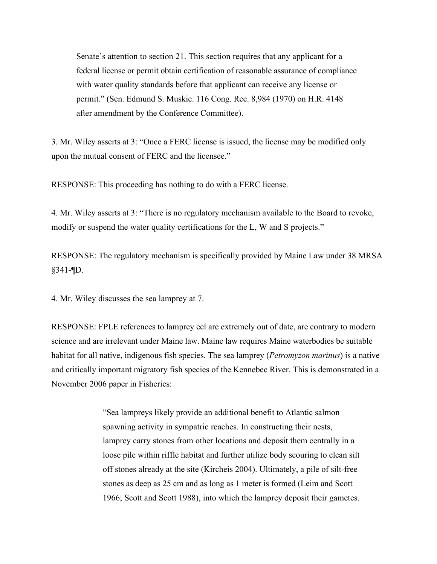Senate's attention to section 21. This section requires that any applicant for a federal license or permit obtain certification of reasonable assurance of compliance with water quality standards before that applicant can receive any license or permit." (Sen. Edmund S. Muskie. 116 Cong. Rec. 8,984 (1970) on H.R. 4148 after amendment by the Conference Committee).

3. Mr. Wiley asserts at 3: "Once a FERC license is issued, the license may be modified only upon the mutual consent of FERC and the licensee."

RESPONSE: This proceeding has nothing to do with a FERC license.

4. Mr. Wiley asserts at 3: "There is no regulatory mechanism available to the Board to revoke, modify or suspend the water quality certifications for the L, W and S projects."

RESPONSE: The regulatory mechanism is specifically provided by Maine Law under 38 MRSA  $§341 -$  [D.

4. Mr. Wiley discusses the sea lamprey at 7.

RESPONSE: FPLE references to lamprey eel are extremely out of date, are contrary to modern science and are irrelevant under Maine law. Maine law requires Maine waterbodies be suitable habitat for all native, indigenous fish species. The sea lamprey (*Petromyzon marinus*) is a native and critically important migratory fish species of the Kennebec River. This is demonstrated in a November 2006 paper in Fisheries:

> "Sea lampreys likely provide an additional benefit to Atlantic salmon spawning activity in sympatric reaches. In constructing their nests, lamprey carry stones from other locations and deposit them centrally in a loose pile within riffle habitat and further utilize body scouring to clean silt off stones already at the site (Kircheis 2004). Ultimately, a pile of silt-free stones as deep as 25 cm and as long as 1 meter is formed (Leim and Scott 1966; Scott and Scott 1988), into which the lamprey deposit their gametes.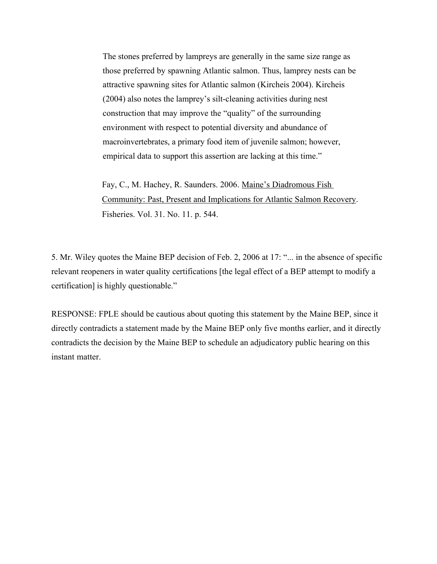The stones preferred by lampreys are generally in the same size range as those preferred by spawning Atlantic salmon. Thus, lamprey nests can be attractive spawning sites for Atlantic salmon (Kircheis 2004). Kircheis (2004) also notes the lamprey's silt-cleaning activities during nest construction that may improve the "quality" of the surrounding environment with respect to potential diversity and abundance of macroinvertebrates, a primary food item of juvenile salmon; however, empirical data to support this assertion are lacking at this time."

Fay, C., M. Hachey, R. Saunders. 2006. Maine's Diadromous Fish Community: Past, Present and Implications for Atlantic Salmon Recovery. Fisheries. Vol. 31. No. 11. p. 544.

5. Mr. Wiley quotes the Maine BEP decision of Feb. 2, 2006 at 17: "... in the absence of specific relevant reopeners in water quality certifications [the legal effect of a BEP attempt to modify a certification] is highly questionable."

RESPONSE: FPLE should be cautious about quoting this statement by the Maine BEP, since it directly contradicts a statement made by the Maine BEP only five months earlier, and it directly contradicts the decision by the Maine BEP to schedule an adjudicatory public hearing on this instant matter.